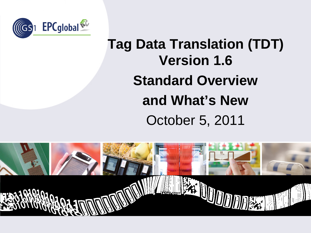

## **Tag Data Translation (TDT) Version 1.6 Standard Overview and What's New** October 5, 2011

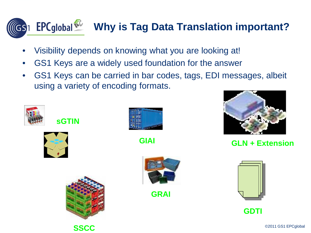## **Why is Tag Data Translation important?**  $\sqrt{G}S$ 1

- Visibility depends on knowing what you are looking at!
- GS1 Keys are a widely used foundation for the answer
- GS1 Keys can be carried in bar codes, tags, EDI messages, albeit using a variety of encoding formats.





**sGTIN**



**SSCC**



**GIAI**



**GLN + Extension** 



**GRAI**



**GDTI**

©2011 GS1 EPCglobal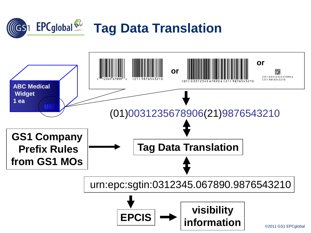

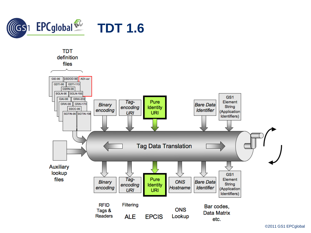



©2011 GS1 EPCglobal